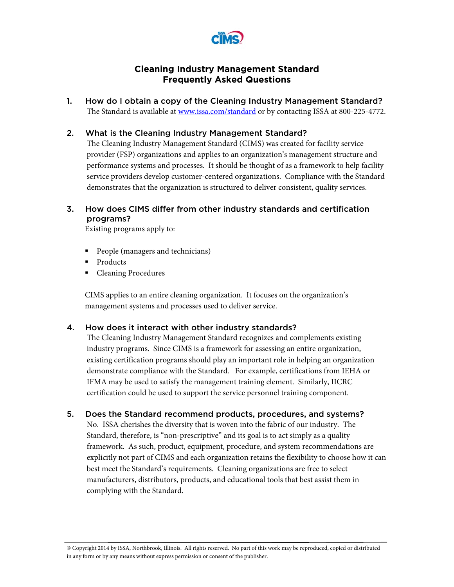

# **Cleaning Industry Management Standard Frequently Asked Questions**

1. How do I obtain a copy of the Cleaning Industry Management Standard? The Standard is available at www.issa.com/standard or by contacting ISSA at 800-225-4772.

### 2. What is the Cleaning Industry Management Standard?

The Cleaning Industry Management Standard (CIMS) was created for facility service provider (FSP) organizations and applies to an organization's management structure and performance systems and processes. It should be thought of as a framework to help facility service providers develop customer-centered organizations. Compliance with the Standard demonstrates that the organization is structured to deliver consistent, quality services.

# 3. How does CIMS differ from other industry standards and certification programs?

Existing programs apply to:

- People (managers and technicians)
- Products
- **Cleaning Procedures**

CIMS applies to an entire cleaning organization. It focuses on the organization's management systems and processes used to deliver service.

#### 4. How does it interact with other industry standards?

The Cleaning Industry Management Standard recognizes and complements existing industry programs. Since CIMS is a framework for assessing an entire organization, existing certification programs should play an important role in helping an organization demonstrate compliance with the Standard. For example, certifications from IEHA or IFMA may be used to satisfy the management training element. Similarly, IICRC certification could be used to support the service personnel training component.

## 5. Does the Standard recommend products, procedures, and systems?

No. ISSA cherishes the diversity that is woven into the fabric of our industry. The Standard, therefore, is "non-prescriptive" and its goal is to act simply as a quality framework. As such, product, equipment, procedure, and system recommendations are explicitly not part of CIMS and each organization retains the flexibility to choose how it can best meet the Standard's requirements. Cleaning organizations are free to select manufacturers, distributors, products, and educational tools that best assist them in complying with the Standard.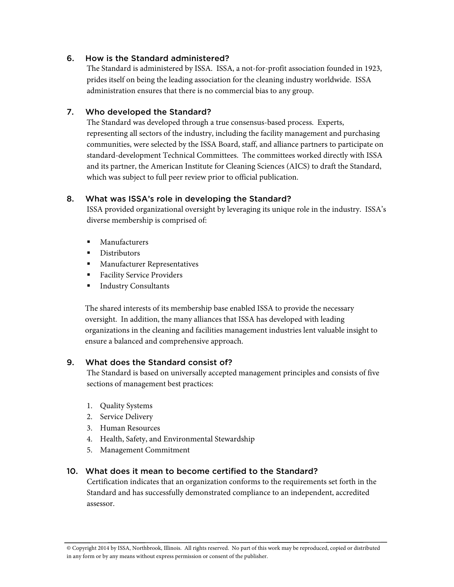## 6. How is the Standard administered?

The Standard is administered by ISSA. ISSA, a not-for-profit association founded in 1923, prides itself on being the leading association for the cleaning industry worldwide. ISSA administration ensures that there is no commercial bias to any group.

## 7. Who developed the Standard?

The Standard was developed through a true consensus-based process. Experts, representing all sectors of the industry, including the facility management and purchasing communities, were selected by the ISSA Board, staff, and alliance partners to participate on standard-development Technical Committees. The committees worked directly with ISSA and its partner, the American Institute for Cleaning Sciences (AICS) to draft the Standard, which was subject to full peer review prior to official publication.

## 8. What was ISSA's role in developing the Standard?

ISSA provided organizational oversight by leveraging its unique role in the industry. ISSA's diverse membership is comprised of:

- **Manufacturers**
- Distributors
- **Manufacturer Representatives**
- Facility Service Providers
- Industry Consultants

 The shared interests of its membership base enabled ISSA to provide the necessary oversight. In addition, the many alliances that ISSA has developed with leading organizations in the cleaning and facilities management industries lent valuable insight to ensure a balanced and comprehensive approach.

#### 9. What does the Standard consist of?

The Standard is based on universally accepted management principles and consists of five sections of management best practices:

- 1. Quality Systems
- 2. Service Delivery
- 3. Human Resources
- 4. Health, Safety, and Environmental Stewardship
- 5. Management Commitment

#### 10. What does it mean to become certified to the Standard?

Certification indicates that an organization conforms to the requirements set forth in the Standard and has successfully demonstrated compliance to an independent, accredited assessor.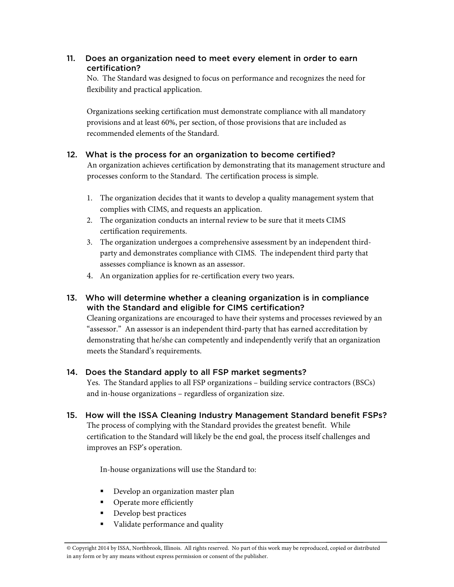# 11. Does an organization need to meet every element in order to earn certification?

No. The Standard was designed to focus on performance and recognizes the need for flexibility and practical application.

Organizations seeking certification must demonstrate compliance with all mandatory provisions and at least 60%, per section, of those provisions that are included as recommended elements of the Standard.

# 12. What is the process for an organization to become certified?

An organization achieves certification by demonstrating that its management structure and processes conform to the Standard. The certification process is simple.

- 1. The organization decides that it wants to develop a quality management system that complies with CIMS, and requests an application.
- 2. The organization conducts an internal review to be sure that it meets CIMS certification requirements.
- 3. The organization undergoes a comprehensive assessment by an independent thirdparty and demonstrates compliance with CIMS. The independent third party that assesses compliance is known as an assessor.
- 4. An organization applies for re-certification every two years.
- 13. Who will determine whether a cleaning organization is in compliance with the Standard and eligible for CIMS certification?

Cleaning organizations are encouraged to have their systems and processes reviewed by an "assessor." An assessor is an independent third-party that has earned accreditation by demonstrating that he/she can competently and independently verify that an organization meets the Standard's requirements.

# 14. Does the Standard apply to all FSP market segments?

Yes. The Standard applies to all FSP organizations – building service contractors (BSCs) and in-house organizations – regardless of organization size.

15. How will the ISSA Cleaning Industry Management Standard benefit FSPs?

The process of complying with the Standard provides the greatest benefit. While certification to the Standard will likely be the end goal, the process itself challenges and improves an FSP's operation.

In-house organizations will use the Standard to:

- **Develop an organization master plan**
- Operate more efficiently
- Develop best practices
- **Validate performance and quality**